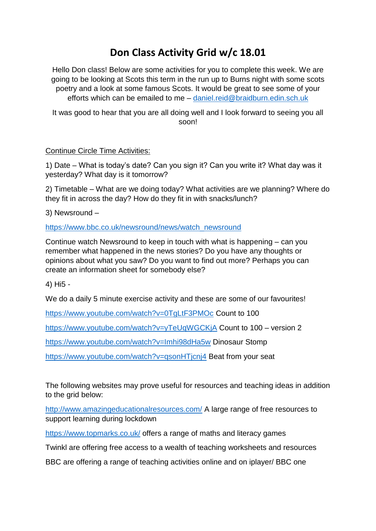## **Don Class Activity Grid w/c 18.01**

Hello Don class! Below are some activities for you to complete this week. We are going to be looking at Scots this term in the run up to Burns night with some scots poetry and a look at some famous Scots. It would be great to see some of your efforts which can be emailed to me – [daniel.reid@braidburn.edin.sch.uk](mailto:daniel.reid@braidburn.edin.sch.uk)

It was good to hear that you are all doing well and I look forward to seeing you all soon!

## Continue Circle Time Activities:

1) Date – What is today's date? Can you sign it? Can you write it? What day was it yesterday? What day is it tomorrow?

2) Timetable – What are we doing today? What activities are we planning? Where do they fit in across the day? How do they fit in with snacks/lunch?

3) Newsround –

[https://www.bbc.co.uk/newsround/news/watch\\_newsround](https://www.bbc.co.uk/newsround/news/watch_newsround)

Continue watch Newsround to keep in touch with what is happening – can you remember what happened in the news stories? Do you have any thoughts or opinions about what you saw? Do you want to find out more? Perhaps you can create an information sheet for somebody else?

4) Hi5 -

We do a daily 5 minute exercise activity and these are some of our favourites!

<https://www.youtube.com/watch?v=0TgLtF3PMOc> Count to 100

<https://www.youtube.com/watch?v=yTeUqWGCKjA> Count to 100 – version 2

<https://www.youtube.com/watch?v=Imhi98dHa5w> Dinosaur Stomp

<https://www.youtube.com/watch?v=qsonHTjcnj4> Beat from your seat

The following websites may prove useful for resources and teaching ideas in addition to the grid below:

<http://www.amazingeducationalresources.com/> A large range of free resources to support learning during lockdown

<https://www.topmarks.co.uk/> offers a range of maths and literacy games

Twinkl are offering free access to a wealth of teaching worksheets and resources

BBC are offering a range of teaching activities online and on iplayer/ BBC one